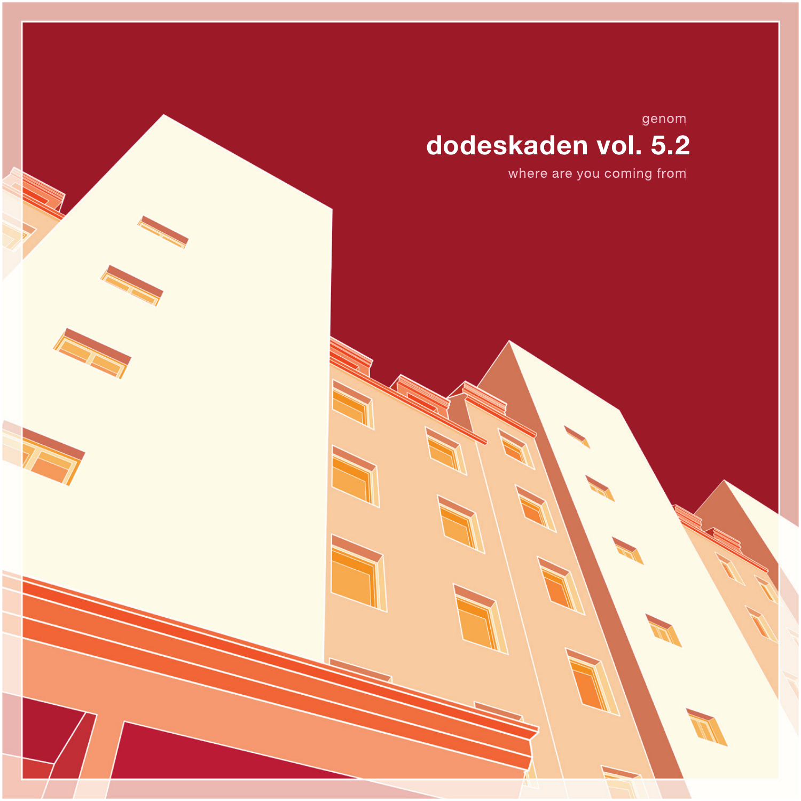genom

## dodeskaden vol. 5.2

where are you coming from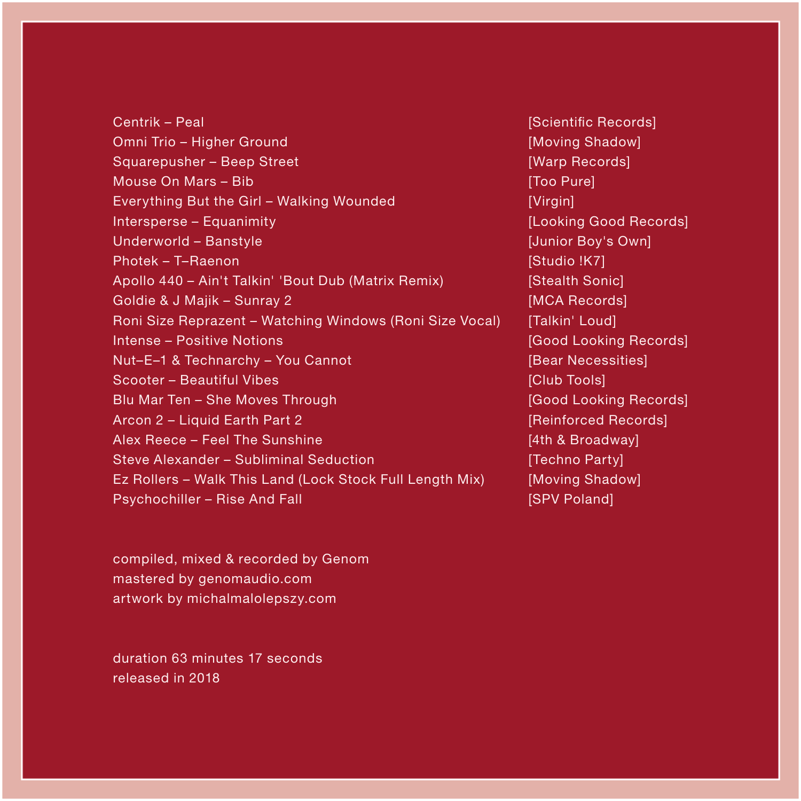Centrik – Peal Omni Trio – Higher Ground Squarepusher – Beep Street Mouse On Mars – Bib Everything But the Girl – Walking Wounded Intersperse – Equanimity Underworld – Banstyle Photek – T–Raenon Apollo 440 – Ain't Talkin' 'Bout Dub (Matrix Remix) Goldie & J Majik – Sunray 2 Roni Size Reprazent – Watching Windows (Roni Size Vocal) Intense – Positive Notions Nut–E–1 & Technarchy – You Cannot Scooter – Beautiful Vibes Blu Mar Ten – She Moves Through Arcon 2 - Liquid Earth Part 2 Alex Reece – Feel The Sunshine Steve Alexander – Subliminal Seduction Ez Rollers – Walk This Land (Lock Stock Full Length Mix) Psychochiller – Rise And Fall

compiled, mixed & recorded by Genom mastered by genomaudio.com artwork by michalmalolepszy.com

duration 63 minutes 17 seconds released in 2018

[Scientific Records] [Moving Shadow] [Warp Records] [Too Pure] [Virgin] [Looking Good Records] [Junior Boy's Own] [Studio !K7] [Stealth Sonic] [MCA Records] [Talkin' Loud] [Good Looking Records] [Bear Necessities] [Club Tools] [Good Looking Records] [Reinforced Records] [4th & Broadway] [Techno Party] [Moving Shadow] **[SPV Poland]**